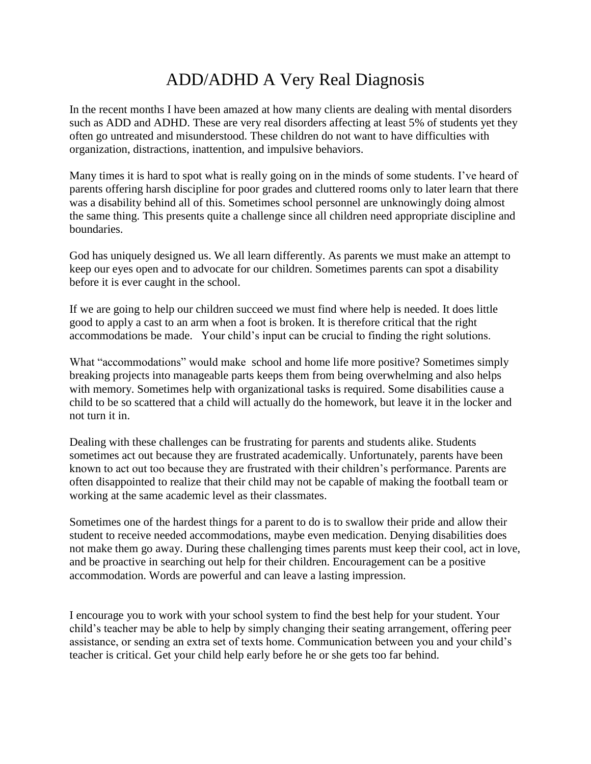## ADD/ADHD A Very Real Diagnosis

In the recent months I have been amazed at how many clients are dealing with mental disorders such as ADD and ADHD. These are very real disorders affecting at least 5% of students yet they often go untreated and misunderstood. These children do not want to have difficulties with organization, distractions, inattention, and impulsive behaviors.

Many times it is hard to spot what is really going on in the minds of some students. I've heard of parents offering harsh discipline for poor grades and cluttered rooms only to later learn that there was a disability behind all of this. Sometimes school personnel are unknowingly doing almost the same thing. This presents quite a challenge since all children need appropriate discipline and boundaries.

God has uniquely designed us. We all learn differently. As parents we must make an attempt to keep our eyes open and to advocate for our children. Sometimes parents can spot a disability before it is ever caught in the school.

If we are going to help our children succeed we must find where help is needed. It does little good to apply a cast to an arm when a foot is broken. It is therefore critical that the right accommodations be made. Your child's input can be crucial to finding the right solutions.

What "accommodations" would make school and home life more positive? Sometimes simply breaking projects into manageable parts keeps them from being overwhelming and also helps with memory. Sometimes help with organizational tasks is required. Some disabilities cause a child to be so scattered that a child will actually do the homework, but leave it in the locker and not turn it in.

Dealing with these challenges can be frustrating for parents and students alike. Students sometimes act out because they are frustrated academically. Unfortunately, parents have been known to act out too because they are frustrated with their children's performance. Parents are often disappointed to realize that their child may not be capable of making the football team or working at the same academic level as their classmates.

Sometimes one of the hardest things for a parent to do is to swallow their pride and allow their student to receive needed accommodations, maybe even medication. Denying disabilities does not make them go away. During these challenging times parents must keep their cool, act in love, and be proactive in searching out help for their children. Encouragement can be a positive accommodation. Words are powerful and can leave a lasting impression.

I encourage you to work with your school system to find the best help for your student. Your child's teacher may be able to help by simply changing their seating arrangement, offering peer assistance, or sending an extra set of texts home. Communication between you and your child's teacher is critical. Get your child help early before he or she gets too far behind.